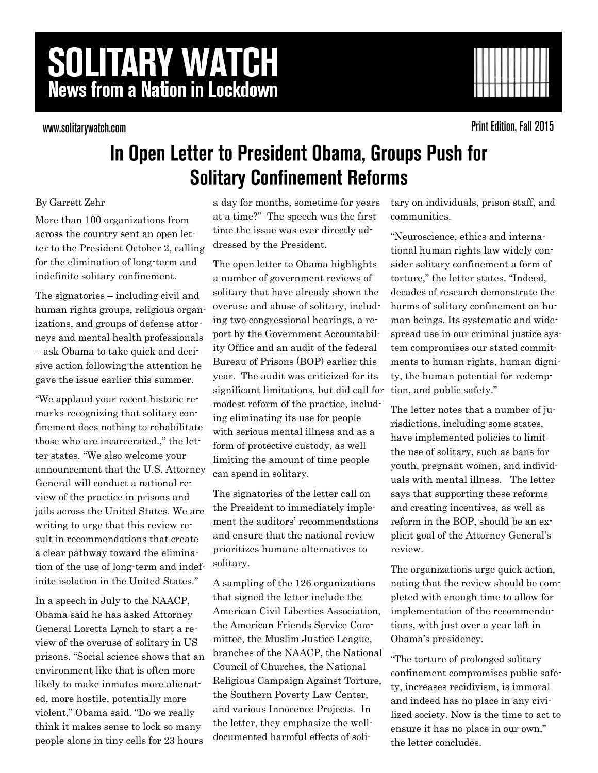# **SOLITARY WATCH News from a Nation in Lockdown**

www.solitarywatch.com



**Print Edition, Fall 2015** 

## In Open Letter to President Obama, Groups Push for **Solitary Confinement Reforms**

### By Garrett Zehr

More than 100 organizations from across the country sent an open letter to the President October 2, calling for the elimination of long-term and indefinite solitary confinement.

The signatories – including civil and human rights groups, religious organizations, and groups of defense attorneys and mental health professionals – ask Obama to take quick and decisive action following the attention he gave the issue earlier this summer.

"We applaud your recent historic remarks recognizing that solitary confinement does nothing to rehabilitate those who are incarcerated.," the letter states. "We also welcome your announcement that the U.S. Attorney General will conduct a national review of the practice in prisons and jails across the United States. We are writing to urge that this review result in recommendations that create a clear pathway toward the elimination of the use of long-term and indefinite isolation in the United States."

In a speech in July to the NAACP, Obama said he has asked Attorney General Loretta Lynch to start a review of the overuse of solitary in US prisons. "Social science shows that an environment like that is often more likely to make inmates more alienated, more hostile, potentially more violent," Obama said. "Do we really think it makes sense to lock so many people alone in tiny cells for 23 hours

a day for months, sometime for years at a time?" The speech was the first time the issue was ever directly addressed by the President.

The open letter to Obama highlights a number of government reviews of solitary that have already shown the overuse and abuse of solitary, including two congressional hearings, a report by the Government Accountability Office and an audit of the federal Bureau of Prisons (BOP) earlier this year. The audit was criticized for its significant limitations, but did call for modest reform of the practice, including eliminating its use for people with serious mental illness and as a form of protective custody, as well limiting the amount of time people can spend in solitary.

The signatories of the letter call on the President to immediately implement the auditors' recommendations and ensure that the national review prioritizes humane alternatives to solitary.

A sampling of the 126 organizations that signed the letter include the American Civil Liberties Association, the American Friends Service Committee, the Muslim Justice League, branches of the NAACP, the National Council of Churches, the National Religious Campaign Against Torture, the Southern Poverty Law Center, and various Innocence Projects. In the letter, they emphasize the welldocumented harmful effects of solitary on individuals, prison staff, and communities.

"Neuroscience, ethics and international human rights law widely consider solitary confinement a form of torture," the letter states. "Indeed, decades of research demonstrate the harms of solitary confinement on human beings. Its systematic and widespread use in our criminal justice system compromises our stated commitments to human rights, human dignity, the human potential for redemption, and public safety."

The letter notes that a number of jurisdictions, including some states, have implemented policies to limit the use of solitary, such as bans for youth, pregnant women, and individuals with mental illness. The letter says that supporting these reforms and creating incentives, as well as reform in the BOP, should be an explicit goal of the Attorney General's review.

The organizations urge quick action, noting that the review should be completed with enough time to allow for implementation of the recommendations, with just over a year left in Obama's presidency.

"The torture of prolonged solitary confinement compromises public safety, increases recidivism, is immoral and indeed has no place in any civilized society. Now is the time to act to ensure it has no place in our own," the letter concludes.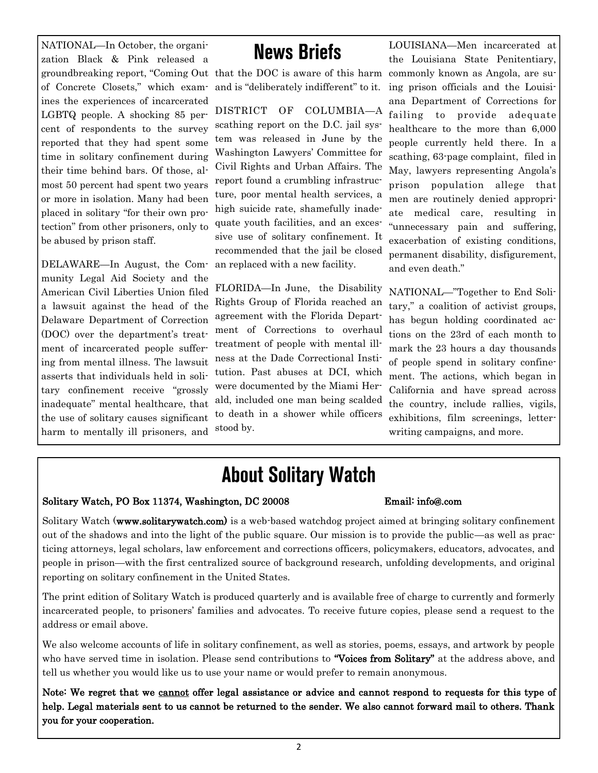NATIONAL—In October, the organization Black & Pink released a groundbreaking report, "Coming Out that the DOC is aware of this harm of Concrete Closets," which examines the experiences of incarcerated LGBTQ people. A shocking 85 percent of respondents to the survey reported that they had spent some time in solitary confinement during their time behind bars. Of those, almost 50 percent had spent two years or more in isolation. Many had been placed in solitary "for their own protection" from other prisoners, only to be abused by prison staff.

DELAWARE—In August, the Community Legal Aid Society and the American Civil Liberties Union filed a lawsuit against the head of the Delaware Department of Correction (DOC) over the department's treatment of incarcerated people suffering from mental illness. The lawsuit asserts that individuals held in solitary confinement receive "grossly inadequate" mental healthcare, that the use of solitary causes significant harm to mentally ill prisoners, and

## **News Briefs**

and is "deliberately indifferent" to it.

DISTRICT OF COLUMBIA—A scathing report on the D.C. jail system was released in June by the Washington Lawyers' Committee for Civil Rights and Urban Affairs. The report found a crumbling infrastructure, poor mental health services, a high suicide rate, shamefully inadequate youth facilities, and an excessive use of solitary confinement. It recommended that the jail be closed an replaced with a new facility.

FLORIDA—In June, the Disability Rights Group of Florida reached an agreement with the Florida Department of Corrections to overhaul treatment of people with mental illness at the Dade Correctional Institution. Past abuses at DCI, which were documented by the Miami Herald, included one man being scalded to death in a shower while officers stood by.

LOUISIANA—Men incarcerated at the Louisiana State Penitentiary, commonly known as Angola, are suing prison officials and the Louisiana Department of Corrections for failing to provide adequate healthcare to the more than 6,000 people currently held there. In a scathing, 63-page complaint, filed in May, lawyers representing Angola's prison population allege that men are routinely denied appropriate medical care, resulting in "unnecessary pain and suffering, exacerbation of existing conditions, permanent disability, disfigurement, and even death."

NATIONAL—"Together to End Solitary," a coalition of activist groups, has begun holding coordinated actions on the 23rd of each month to mark the 23 hours a day thousands of people spend in solitary confinement. The actions, which began in California and have spread across the country, include rallies, vigils, exhibitions, film screenings, letterwriting campaigns, and more.

## **About Solitary Watch**

### Solitary Watch, PO Box 11374, Washington, DC 20008 Email: info@.com

Solitary Watch (www.solitarywatch.com) is a web-based watchdog project aimed at bringing solitary confinement out of the shadows and into the light of the public square. Our mission is to provide the public—as well as practicing attorneys, legal scholars, law enforcement and corrections officers, policymakers, educators, advocates, and people in prison—with the first centralized source of background research, unfolding developments, and original reporting on solitary confinement in the United States.

The print edition of Solitary Watch is produced quarterly and is available free of charge to currently and formerly incarcerated people, to prisoners' families and advocates. To receive future copies, please send a request to the address or email above.

We also welcome accounts of life in solitary confinement, as well as stories, poems, essays, and artwork by people who have served time in isolation. Please send contributions to "Voices from Solitary" at the address above, and tell us whether you would like us to use your name or would prefer to remain anonymous.

Note: We regret that we cannot offer legal assistance or advice and cannot respond to requests for this type of help. Legal materials sent to us cannot be returned to the sender. We also cannot forward mail to others. Thank you for your cooperation.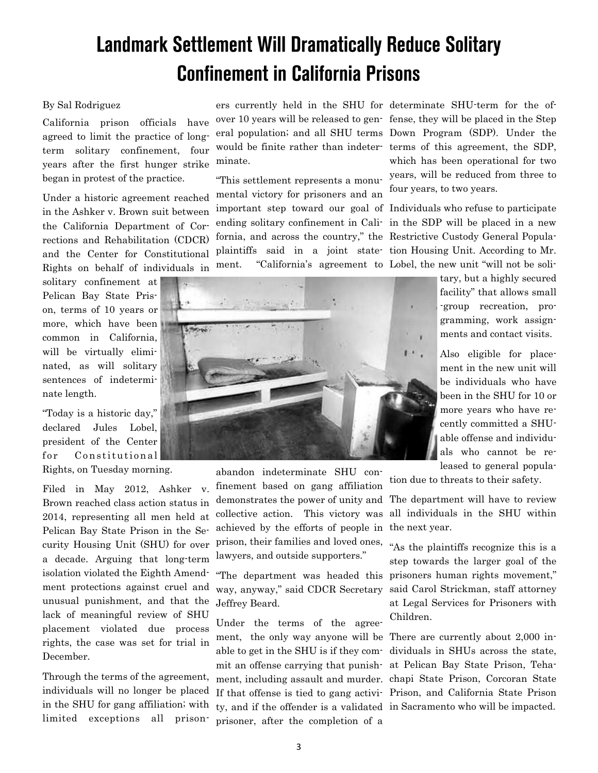## **Landmark Settlement Will Dramatically Reduce Solitary Confinement in California Prisons**

### By Sal Rodriguez

California prison officials have agreed to limit the practice of longterm solitary confinement, four years after the first hunger strike began in protest of the practice.

Under a historic agreement reached in the Ashker v. Brown suit between the California Department of Corrections and Rehabilitation (CDCR) and the Center for Constitutional Rights on behalf of individuals in

solitary confinement at Pelican Bay State Prison, terms of 10 years or more, which have been common in California, will be virtually eliminated, as will solitary sentences of indeterminate length.

"Today is a historic day," declared Jules Lobel, president of the Center for Constitutional

Rights, on Tuesday morning.

Filed in May 2012, Ashker v. Brown reached class action status in 2014, representing all men held at Pelican Bay State Prison in the Security Housing Unit (SHU) for over a decade. Arguing that long-term isolation violated the Eighth Amendment protections against cruel and unusual punishment, and that the lack of meaningful review of SHU placement violated due process rights, the case was set for trial in December.

Through the terms of the agreement, individuals will no longer be placed in the SHU for gang affiliation; with limited exceptions all prisonminate.

"This settlement represents a monumental victory for prisoners and an important step toward our goal of Individuals who refuse to participate ending solitary confinement in Cali-in the SDP will be placed in a new fornia, and across the country," the Restrictive Custody General Populaplaintiffs said in a joint state-tion Housing Unit. According to Mr.

ers currently held in the SHU for determinate SHU-term for the ofover 10 years will be released to gen-fense, they will be placed in the Step eral population; and all SHU terms Down Program (SDP). Under the would be finite rather than indeter-terms of this agreement, the SDP, which has been operational for two years, will be reduced from three to four years, to two years.

ment. "California's agreement to Lobel, the new unit "will not be soli-



abandon indeterminate SHU confinement based on gang affiliation demonstrates the power of unity and The department will have to review collective action. This victory was achieved by the efforts of people in prison, their families and loved ones, lawyers, and outside supporters."

way, anyway," said CDCR Secretary Jeffrey Beard.

Under the terms of the agreement, the only way anyone will be There are currently about 2,000 inty, and if the offender is a validated in Sacramento who will be impacted.prisoner, after the completion of a

gramming, work assignments and contact visits. Also eligible for place-

tary, but a highly secured facility" that allows small -group recreation, pro-

ment in the new unit will be individuals who have been in the SHU for 10 or more years who have recently committed a SHUable offense and individuals who cannot be released to general popula-

tion due to threats to their safety.

all individuals in the SHU within the next year.

"The department was headed this prisoners human rights movement," "As the plaintiffs recognize this is a step towards the larger goal of the said Carol Strickman, staff attorney at Legal Services for Prisoners with Children.

able to get in the SHU is if they com-dividuals in SHUs across the state, mit an offense carrying that punish-at Pelican Bay State Prison, Tehament, including assault and murder. chapi State Prison, Corcoran State If that offense is tied to gang activi-Prison, and California State Prison